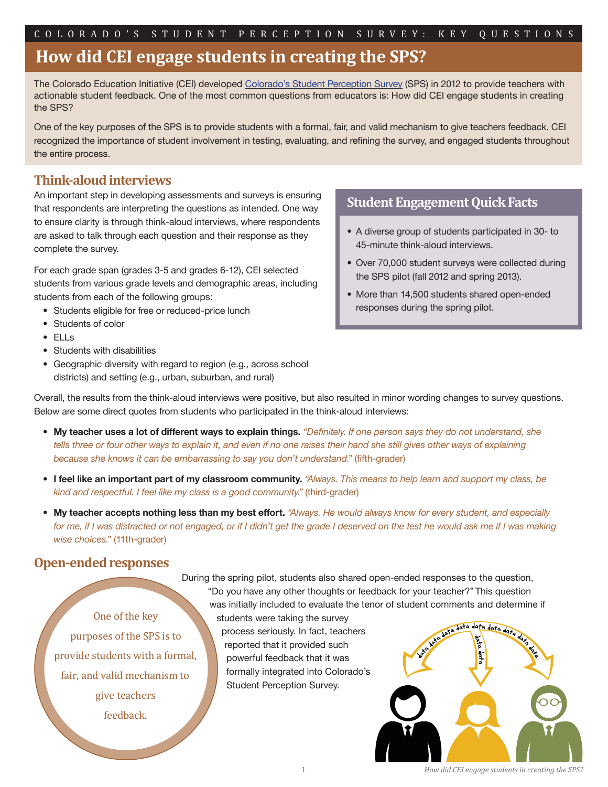# **How did CEI engage students in creating the SPS?**

The Colorado Education Initiative (CEI) develope[d Colorado's Student Perception Survey](http://www.coloradoedinitiative.org/studentsurvey/) (SPS) in 2012 to provide teachers with actionable student feedback. One of the most common questions from educators is: How did CEI engage students in creating the SPS?

One of the key purposes of the SPS is to provide students with a formal, fair, and valid mechanism to give teachers feedback. CEI recognized the importance of student involvement in testing, evaluating, and refining the survey, and engaged students throughout the entire process.

### **Think-aloud interviews**

An important step in developing assessments and surveys is ensuring that respondents are interpreting the questions as intended. One way to ensure clarity is through think-aloud interviews, where respondents are asked to talk through each question and their response as they complete the survey.

For each grade span (grades 3-5 and grades 6-12), CEI selected students from various grade levels and demographic areas, including students from each of the following groups:

- Students eligible for free or reduced-price lunch
- Students of color
- ELLs
- Students with disabilities
- Geographic diversity with regard to region (e.g., across school districts) and setting (e.g., urban, suburban, and rural)

#### **Student Engagement Quick Facts**

- A diverse group of students participated in 30- to 45-minute think-aloud interviews.
- Over 70,000 student surveys were collected during the SPS pilot (fall 2012 and spring 2013).
- More than 14,500 students shared open-ended responses during the spring pilot.

Overall, the results from the think-aloud interviews were positive, but also resulted in minor wording changes to survey questions. Below are some direct quotes from students who participated in the think-aloud interviews:

- My teacher uses a lot of different ways to explain things. *"Definitely. If one person says they do not understand, she tells three or four other ways to explain it, and even if no one raises their hand she still gives other ways of explaining because she knows it can be embarrassing to say you don't understand."* (fifth-grader)
- **I feel like an important part of my classroom community.** *"Always. This means to help learn and support my class, be kind and respectful. I feel like my class is a good community."* (third-grader)
- **My teacher accepts nothing less than my best effort.** *"Always. He would always know for every student, and especially*  for me, if I was distracted or not engaged, or if I didn't get the grade I deserved on the test he would ask me if I was making  *wise choices."* (11th-grader)

### **Open-ended responses**

One of the key purposes of the SPS is to provide students with a formal, fair, and valid mechanism to give teachers feedback.

During the spring pilot, students also shared open-ended responses to the question, "Do you have any other thoughts or feedback for your teacher?" This question was initially included to evaluate the tenor of student comments and determine if

students were taking the survey process seriously. In fact, teachers reported that it provided such powerful feedback that it was formally integrated into Colorado's Student Perception Survey.



*How did CEI engage students in creating the SPS?*